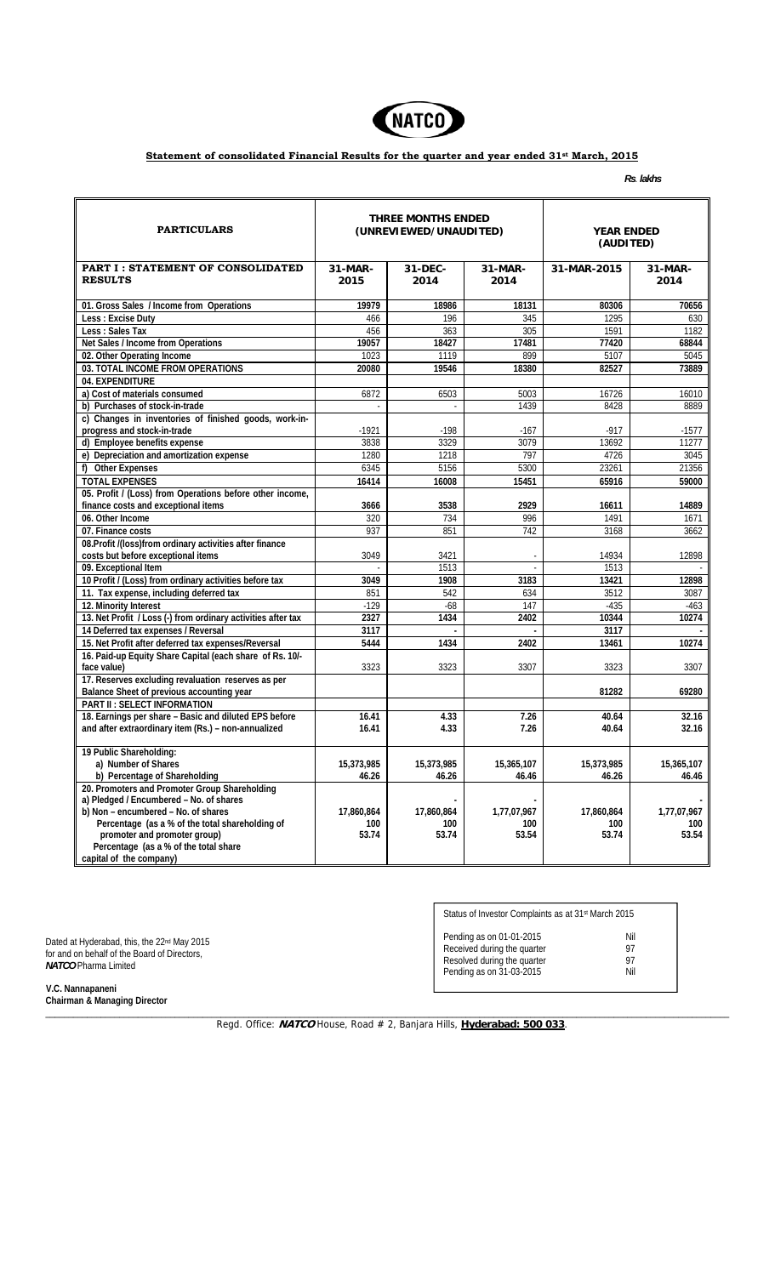

## **Statement of consolidated Financial Results for the quarter and year ended 31st March, 2015**

*Rs*. *lakhs* 

| <b>PARTICULARS</b>                                                    | THREE MONTHS ENDED<br>(UNREVIEWED/UNAUDITED) |                  |                  | <b>YEAR ENDED</b><br>(AUDITED) |                   |
|-----------------------------------------------------------------------|----------------------------------------------|------------------|------------------|--------------------------------|-------------------|
| <b>PART I: STATEMENT OF CONSOLIDATED</b><br><b>RESULTS</b>            | 31-MAR-<br>2015                              | 31-DEC-<br>2014  | 31-MAR-<br>2014  | 31-MAR-2015                    | $31-MAR-$<br>2014 |
| 01. Gross Sales / Income from Operations                              | 19979                                        | 18986            | 18131            | 80306                          | 70656             |
| Less : Excise Duty                                                    | 466                                          | 196              | 345              | 1295                           | 630               |
| Less : Sales Tax                                                      | 456                                          | $\overline{363}$ | $\overline{305}$ | 1591                           | 1182              |
| Net Sales / Income from Operations                                    | 19057                                        | 18427            | 17481            | 77420                          | 68844             |
| 02. Other Operating Income                                            | 1023                                         | 1119             | 899              | 5107                           | 5045              |
| 03. TOTAL INCOME FROM OPERATIONS                                      | 20080                                        | 19546            | 18380            | 82527                          | 73889             |
| 04. EXPENDITURE                                                       |                                              |                  |                  |                                |                   |
| a) Cost of materials consumed                                         | 6872                                         | 6503             | 5003             | 16726                          | 16010             |
| b) Purchases of stock-in-trade                                        | $\mathcal{L}$                                | $\mathcal{L}$    | 1439             | 8428                           | 8889              |
|                                                                       |                                              |                  |                  |                                |                   |
| c) Changes in inventories of finished goods, work-in-                 | $-1921$                                      |                  |                  | $-917$                         |                   |
| progress and stock-in-trade                                           |                                              | $-198$           | $-167$<br>3079   |                                | -1577             |
| d) Employee benefits expense                                          | 3838                                         | 3329             |                  | 13692                          | 11277             |
| e) Depreciation and amortization expense                              | 1280                                         | 1218             | 797              | 4726                           | 3045              |
| f) Other Expenses                                                     | 6345                                         | 5156             | 5300             | 23261                          | 21356             |
| <b>TOTAL EXPENSES</b>                                                 | 16414                                        | 16008            | 15451            | 65916                          | 59000             |
| 05. Profit / (Loss) from Operations before other income,              |                                              |                  |                  |                                |                   |
| finance costs and exceptional items                                   | 3666                                         | 3538             | 2929             | 16611                          | 14889             |
| 06. Other Income                                                      | 320                                          | 734              | 996              | 1491                           | 1671              |
| 07. Finance costs                                                     | 937                                          | 851              | $\overline{742}$ | 3168                           | 3662              |
| 08. Profit /(loss) from ordinary activities after finance             |                                              |                  |                  |                                |                   |
| costs but before exceptional items                                    | 3049                                         | 3421             |                  | 14934                          | 12898             |
| 09. Exceptional Item                                                  |                                              | 1513             |                  | 1513                           |                   |
| 10 Profit / (Loss) from ordinary activities before tax                | 3049                                         | 1908             | 3183             | 13421                          | 12898             |
| 11. Tax expense, including deferred tax                               | 851                                          | 542              | 634              | 3512                           | 3087              |
| 12. Minority Interest                                                 | $-129$                                       | $-68$            | 147              | $-435$                         | $-463$            |
| 13. Net Profit / Loss (-) from ordinary activities after tax          | 2327                                         | 1434             | 2402             | 10344                          | 10274             |
| 14 Deferred tax expenses / Reversal                                   | 3117                                         |                  |                  | 3117                           |                   |
| 15. Net Profit after deferred tax expenses/Reversal                   | 5444                                         | 1434             | 2402             | 13461                          | 10274             |
| 16. Paid-up Equity Share Capital (each share of Rs. 10/-              |                                              |                  |                  |                                |                   |
| face value)                                                           | 3323                                         | 3323             | 3307             | 3323                           | 3307              |
| 17. Reserves excluding revaluation reserves as per                    |                                              |                  |                  |                                |                   |
| Balance Sheet of previous accounting year                             |                                              |                  |                  | 81282                          | 69280             |
| <b>PART II: SELECT INFORMATION</b>                                    |                                              |                  |                  |                                |                   |
| 18. Earnings per share - Basic and diluted EPS before                 | 16.41                                        | 4.33             | 7.26             | 40.64                          | 32.16             |
| and after extraordinary item (Rs.) - non-annualized                   | 16.41                                        | 4.33             | 7.26             | 40.64                          | 32.16             |
|                                                                       |                                              |                  |                  |                                |                   |
| 19 Public Shareholding:                                               |                                              |                  |                  |                                |                   |
| a) Number of Shares                                                   | 15,373,985                                   | 15,373,985       | 15,365,107       | 15,373,985                     | 15,365,107        |
| b) Percentage of Shareholding                                         | 46.26                                        | 46.26            | 46.46            | 46.26                          | 46.46             |
| 20. Promoters and Promoter Group Shareholding                         |                                              |                  |                  |                                |                   |
| a) Pledged / Encumbered - No. of shares                               |                                              |                  |                  |                                |                   |
| b) Non - encumbered - No. of shares                                   | 17,860,864                                   | 17,860,864       | 1,77,07,967      | 17,860,864                     | 1,77,07,967       |
| Percentage (as a % of the total shareholding of                       | 100                                          | 100              | 100              | 100                            | 100               |
| promoter and promoter group)<br>Percentage (as a % of the total share | 53.74                                        | 53.74            | 53.54            | 53.74                          | 53.54             |
| capital of the company)                                               |                                              |                  |                  |                                |                   |

Dated at Hyderabad, this, the 22<sup>nd</sup> May 2015 for and on behalf of the Board of Directors, *NATCO* Pharma Limited

| Status of Investor Complaints as at 31 <sup>st</sup> March 2015                                                    |                        |  |  |  |
|--------------------------------------------------------------------------------------------------------------------|------------------------|--|--|--|
| Pending as on 01-01-2015<br>Received during the quarter<br>Resolved during the quarter<br>Pending as on 31-03-2015 | Nil<br>97<br>97<br>Nil |  |  |  |

 **V.C. Nannapaneni Chairman & Managing Director** 

> \_\_\_\_\_\_\_\_\_\_\_\_\_\_\_\_\_\_\_\_\_\_\_\_\_\_\_\_\_\_\_\_\_\_\_\_\_\_\_\_\_\_\_\_\_\_\_\_\_\_\_\_\_\_\_\_\_\_\_\_\_\_\_\_\_\_\_\_\_\_\_\_\_\_\_\_\_\_\_\_\_\_\_\_\_\_\_\_\_\_\_\_\_\_\_\_\_\_\_\_\_\_\_\_\_\_\_\_\_\_\_\_\_\_\_\_\_\_\_\_\_\_\_\_\_\_\_\_\_\_\_\_\_\_\_\_\_\_\_\_\_\_\_\_\_\_\_\_ Regd. Office: **NATCO** House, Road # 2, Banjara Hills, Hyderabad: 500 033.